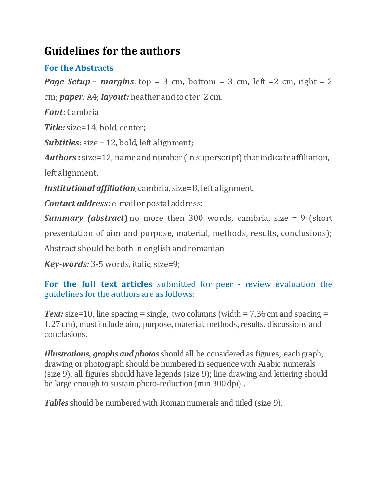# **Guidelines for the authors**

## **For the Abstracts**

*Page Setup* – *margins*: top = 3 cm, bottom = 3 cm, left = 2 cm, right = 2 cm; *paper:* A4; *layout:* heather and footer: 2 cm.

*Font***:** Cambria

*Title:* size=14, bold, center;

*Subtitles*: size = 12, bold, left alignment;

*Authors* **:** size=12, name and number (in superscript) that indicate affiliation,

left alignment.

*Institutional affiliation*, cambria, size= 8, left alignment

*Contact address*: e-mail or postal address;

*Summary (abstract***)** no more then 300 words, cambria, size = 9 (short

presentation of aim and purpose, material, methods, results, conclusions);

Abstract should be both in english and romanian

*Key-words:* 3-5 words, italic, size=9;

**For the full text articles** submitted for peer - review evaluation the guidelines for the authors are as follows:

*Text:* size=10, line spacing = single, two columns (width = 7,36 cm and spacing = 1,27 cm), must include aim, purpose, material, methods, results, discussions and conclusions.

*Illustrations, graphs and photos*should all be considered as figures; each graph, drawing or photograph should be numbered in sequence with Arabic numerals (size 9); all figures should have legends (size 9); line drawing and lettering should be large enough to sustain photo-reduction (min 300 dpi) .

**Tables** should be numbered with Roman numerals and titled (size 9).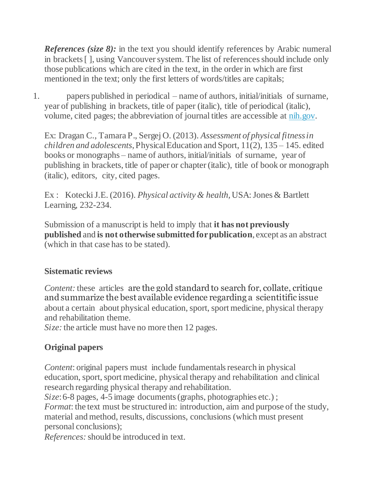*References (size 8):* in the text you should identify references by Arabic numeral in brackets [ ], using Vancouver system. The list of references should include only those publications which are cited in the text, in the order in which are first mentioned in the text; only the first letters of words/titles are capitals;

1. papers published in periodical – name of authors, initial/initials of surname, year of publishing in brackets, title of paper (italic), title of periodical (italic), volume, cited pages; the abbreviation of journal titles are accessible at [nih.gov.](http://www.nlm.nih.gov/)

Ex: Dragan C., Tamara P., Sergej O. (2013). *Assessment of physical fitnessin children and adolescents*, Physical Education and Sport, 11(2), 135 – 145. edited books or monographs – name of authors, initial/initials of surname, year of publishing in brackets, title of paper or chapter (italic), title of book or monograph (italic), editors, city, cited pages.

Ex : Kotecki J.E. (2016). *Physical activity & health,*USA: Jones & Bartlett Learning, 232-234.

Submission of a manuscript is held to imply that **it has not previously published** and **is not otherwise submitted forpublication**, except as an abstract (which in that case has to be stated).

## **Sistematic reviews**

*Content:* these articles are the gold standard to search for, collate, critique and summarize the best available evidence regarding a scientitific issue about a certain about physical education, sport, sport medicine, physical therapy and rehabilitation theme.

*Size:* the article must have no more then 12 pages.

## **Original papers**

*Content*: original papers must include fundamentals research in physical education, sport, sport medicine, physical therapy and rehabilitation and clinical research regarding physical therapy and rehabilitation.

*Size*: 6-8 pages, 4-5 image documents (graphs, photographies etc.); *Format*: the text must be structured in: introduction, aim and purpose of the study, material and method, results, discussions, conclusions (which must present personal conclusions);

*References:*should be introduced in text.